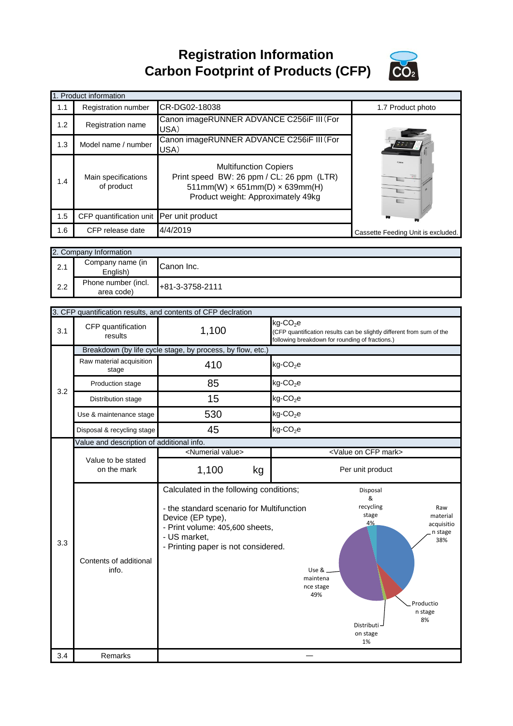**Registration Information Carbon Footprint of Products (CFP)**



|     | 1. Product information                   |                                                                                                                                                               |                                    |
|-----|------------------------------------------|---------------------------------------------------------------------------------------------------------------------------------------------------------------|------------------------------------|
| 1.1 | Registration number                      | CR-DG02-18038                                                                                                                                                 | 1.7 Product photo                  |
| 1.2 | <b>Registration name</b>                 | Canon imageRUNNER ADVANCE C256iF III (For<br>USA)                                                                                                             |                                    |
| 1.3 | Model name / number                      | Canon imageRUNNER ADVANCE C256iF III (For<br>USA)                                                                                                             |                                    |
| 1.4 | Main specifications<br>of product        | <b>Multifunction Copiers</b><br>Print speed BW: 26 ppm / CL: 26 ppm (LTR)<br>$511mm(W) \times 651mm(D) \times 639mm(H)$<br>Product weight: Approximately 49kg |                                    |
| 1.5 | CFP quantification unit Per unit product |                                                                                                                                                               |                                    |
| 1.6 | CFP release date                         | 4/4/2019                                                                                                                                                      | Cassette Feeding Unit is excluded. |

|     | 2. Company Information            |                 |  |
|-----|-----------------------------------|-----------------|--|
| 2.1 | Company name (in<br>English)      | Canon Inc.      |  |
| 2.2 | Phone number (incl.<br>area code) | +81-3-3758-2111 |  |

|     | 3. CFP quantification results, and contents of CFP declration |                                                                                                                                                                                                     |                                                                                                                                                                                                            |  |  |
|-----|---------------------------------------------------------------|-----------------------------------------------------------------------------------------------------------------------------------------------------------------------------------------------------|------------------------------------------------------------------------------------------------------------------------------------------------------------------------------------------------------------|--|--|
| 3.1 | CFP quantification<br>results                                 | 1,100                                                                                                                                                                                               | kg-CO <sub>2</sub> e<br>(CFP quantification results can be slightly different from sum of the<br>following breakdown for rounding of fractions.)                                                           |  |  |
|     |                                                               | Breakdown (by life cycle stage, by process, by flow, etc.)                                                                                                                                          |                                                                                                                                                                                                            |  |  |
|     | Raw material acquisition<br>stage                             | 410                                                                                                                                                                                                 | $kg$ -CO <sub>2</sub> e                                                                                                                                                                                    |  |  |
| 3.2 | Production stage                                              | 85                                                                                                                                                                                                  | $kg$ -CO <sub>2</sub> e                                                                                                                                                                                    |  |  |
|     | Distribution stage                                            | 15                                                                                                                                                                                                  | $kg$ -CO <sub>2</sub> e                                                                                                                                                                                    |  |  |
|     | Use & maintenance stage                                       | 530                                                                                                                                                                                                 | $kg$ -CO <sub>2</sub> e                                                                                                                                                                                    |  |  |
|     | Disposal & recycling stage                                    | 45                                                                                                                                                                                                  | $kg$ -CO <sub>2</sub> e                                                                                                                                                                                    |  |  |
|     | Value and description of additional info.                     |                                                                                                                                                                                                     |                                                                                                                                                                                                            |  |  |
|     |                                                               | <numerial value=""></numerial>                                                                                                                                                                      | <value cfp="" mark="" on=""></value>                                                                                                                                                                       |  |  |
|     | Value to be stated<br>on the mark                             | 1,100<br>kg                                                                                                                                                                                         | Per unit product                                                                                                                                                                                           |  |  |
|     |                                                               |                                                                                                                                                                                                     |                                                                                                                                                                                                            |  |  |
| 3.3 | Contents of additional<br>info.                               | Calculated in the following conditions;<br>- the standard scenario for Multifunction<br>Device (EP type),<br>- Print volume: 405,600 sheets,<br>- US market,<br>- Printing paper is not considered. | Disposal<br>&<br>recycling<br>Raw<br>stage<br>material<br>4%<br>acquisitio<br>n stage<br>38%<br>Use $&$ $-$<br>maintena<br>nce stage<br>49%<br>Productio<br>n stage<br>8%<br>Distributi-<br>on stage<br>1% |  |  |